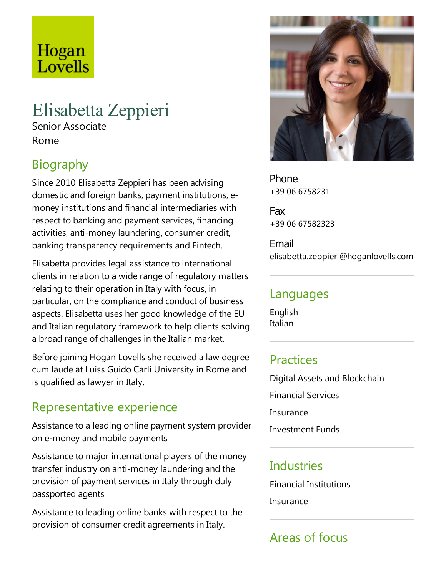# Hogan Lovells

# Elisabetta Zeppieri

Senior Associate Rome

# Biography

Since 2010 Elisabetta Zeppieri has been advising domesticand foreign banks, payment institutions,emoney institutions and financial intermediaries with respect to banking and payment services, financing activities, anti-money laundering, consumer credit, banking transparency requirements and Fintech.

Elisabetta provides legal assistance to international clients in relation to a wide range of regulatory matters relating to their operation in Italy with focus, in particular, on the compliance and conduct of business aspects. Elisabetta uses her good knowledge of the EU and Italian regulatory framework to help clients solving a broad range of challenges in the Italian market.

Before joining Hogan Lovells she received a law degree cum laude at Luiss Guido Carli University in Rome and is qualified as lawyer in Italy.

### Representative experience

Assistance to a leading online payment system provider on e-money and mobile payments

Assistance to major international players of the money transfer industry on anti-money laundering and the provision of payment services in Italy through duly passported agents

Assistance to leading online banks with respect to the provision of consumer credit agreements in Italy.



Phone +39 06 6758231

Fax +39 06 67582323

Email elisabetta.zeppieri@hoganlovells.com

#### Languages

English Italian

#### **Practices**

Digital Assets and Blockchain Financial Services Insurance **Investment Funds** 

#### **Industries**

Financial Institutions

**Insurance** 

## Areas of focus